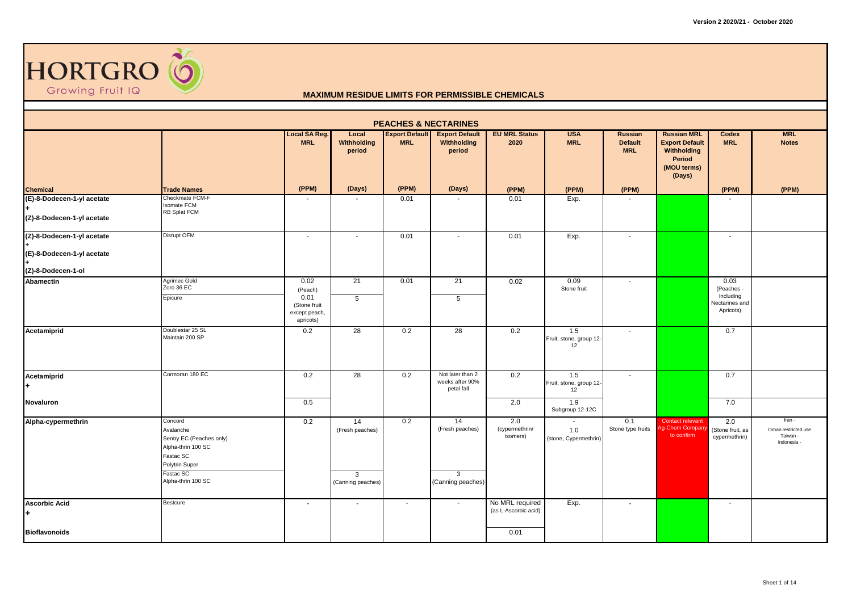

|                                                          | <b>PEACHES &amp; NECTARINES</b><br><b>MRL</b><br>Local SA Reg.<br><b>Export Default</b><br><b>EU MRL Status</b><br><b>USA</b><br><b>Russian MRL</b><br>Local<br><b>Export Default</b><br><b>Russian</b><br>Codex |                                                                       |                                                            |            |                                                            |                                         |                                        |                              |                                                                         |                                                                |                                                        |  |  |  |
|----------------------------------------------------------|------------------------------------------------------------------------------------------------------------------------------------------------------------------------------------------------------------------|-----------------------------------------------------------------------|------------------------------------------------------------|------------|------------------------------------------------------------|-----------------------------------------|----------------------------------------|------------------------------|-------------------------------------------------------------------------|----------------------------------------------------------------|--------------------------------------------------------|--|--|--|
|                                                          |                                                                                                                                                                                                                  | <b>MRL</b>                                                            | Withholding<br>period                                      | <b>MRL</b> | Withholding<br>period                                      | 2020                                    | <b>MRL</b>                             | <b>Default</b><br><b>MRL</b> | <b>Export Default</b><br>Withholding<br>Period<br>(MOU terms)<br>(Days) | <b>MRL</b>                                                     | <b>Notes</b>                                           |  |  |  |
| <b>Chemical</b>                                          | <b>Trade Names</b>                                                                                                                                                                                               | (PPM)                                                                 | (Days)                                                     | (PPM)      | (Days)                                                     | (PPM)                                   | (PPM)                                  | (PPM)                        |                                                                         | (PPM)                                                          | (PPM)                                                  |  |  |  |
| (E)-8-Dodecen-1-yl acetate<br>(Z)-8-Dodecen-1-yl acetate | Checkmate FCM-F<br>Isomate FCM<br>RB Splat FCM                                                                                                                                                                   |                                                                       |                                                            | 0.01       |                                                            | 0.01                                    | Exp.                                   |                              |                                                                         |                                                                |                                                        |  |  |  |
| (Z)-8-Dodecen-1-yl acetate<br>(E)-8-Dodecen-1-yl acetate | <b>Disrupt OFM</b>                                                                                                                                                                                               | $\overline{\phantom{a}}$                                              | $\overline{\phantom{a}}$                                   | 0.01       | $\blacksquare$                                             | 0.01                                    | Exp.                                   | $\blacksquare$               |                                                                         | $\sim$                                                         |                                                        |  |  |  |
| (Z)-8-Dodecen-1-ol                                       |                                                                                                                                                                                                                  |                                                                       |                                                            |            |                                                            |                                         |                                        |                              |                                                                         |                                                                |                                                        |  |  |  |
| Abamectin                                                | Agrimec Gold<br>Zoro 36 EC<br>Epicure                                                                                                                                                                            | 0.02<br>(Peach)<br>0.01<br>(Stone fruit<br>except peach,<br>apricots) | 21<br>$5\phantom{.0}$                                      | 0.01       | 21<br>5                                                    | 0.02                                    | 0.09<br>Stone fruit                    | $\overline{\phantom{a}}$     |                                                                         | 0.03<br>(Peaches -<br>Including<br>Nectarines and<br>Apricots) |                                                        |  |  |  |
| Acetamiprid                                              | Doublestar 25 SL<br>Maintain 200 SP                                                                                                                                                                              | 0.2                                                                   | $\overline{28}$                                            | 0.2        | 28                                                         | 0.2                                     | 1.5<br>Fruit, stone, group 12-<br>12   | $\overline{\phantom{a}}$     |                                                                         | 0.7                                                            |                                                        |  |  |  |
| Acetamiprid                                              | Cormoran 180 EC                                                                                                                                                                                                  | 0.2                                                                   | 28                                                         | 0.2        | Not later than 2<br>weeks after 90%<br>petal fall          | 0.2                                     | 1.5<br>Fruit, stone, group 12-<br>12   | $\sim$                       |                                                                         | 0.7                                                            |                                                        |  |  |  |
| Novaluron                                                |                                                                                                                                                                                                                  | 0.5                                                                   |                                                            |            |                                                            | 2.0                                     | 1.9<br>Subgroup 12-12C                 |                              |                                                                         | 7.0                                                            |                                                        |  |  |  |
| Alpha-cypermethrin                                       | Concord<br>Avalanche<br>Sentry EC (Peaches only)<br>Alpha-thrin 100 SC<br>Fastac SC<br>Polytrin Super<br>Fastac SC<br>Alpha-thrin 100 SC                                                                         | 0.2                                                                   | 14<br>(Fresh peaches)<br>$\mathbf{3}$<br>(Canning peaches) | 0.2        | 14<br>(Fresh peaches)<br>$\mathbf{3}$<br>(Canning peaches) | 2.0<br>(cypermethrin/<br>isomers)       | $\sim$<br>1.0<br>(stone, Cypermethrin) | 0.1<br>Stone type fruits     | Contact relevant<br>g-Chem Compar<br>to confirm                         | 2.0<br>(Stone fruit, as<br>cypermethrin)                       | Iran -<br>Oman restricted use<br>Taiwan -<br>Indonesia |  |  |  |
| <b>Ascorbic Acid</b><br>$\ddot{\phantom{1}}$             | Bestcure                                                                                                                                                                                                         | $\sim$                                                                | $\sim$                                                     | $\sim$     | $\sim$                                                     | No MRL required<br>(as L-Ascorbic acid) | Exp.                                   | $\sim$                       |                                                                         | $\sim$                                                         |                                                        |  |  |  |
| <b>Bioflavonoids</b>                                     |                                                                                                                                                                                                                  |                                                                       |                                                            |            |                                                            | 0.01                                    |                                        |                              |                                                                         |                                                                |                                                        |  |  |  |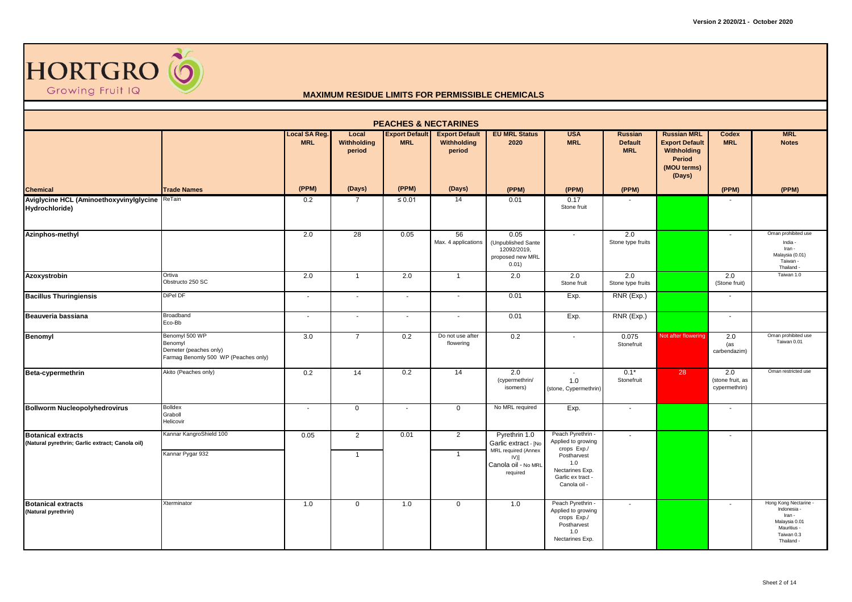

| <b>PEACHES &amp; NECTARINES</b>                                              |                                                                                             |                                    |                                       |                                     |                                                |                                                                        |                                                                                                 |                                         |                                                                                               |                                          |                                                                                                          |  |  |
|------------------------------------------------------------------------------|---------------------------------------------------------------------------------------------|------------------------------------|---------------------------------------|-------------------------------------|------------------------------------------------|------------------------------------------------------------------------|-------------------------------------------------------------------------------------------------|-----------------------------------------|-----------------------------------------------------------------------------------------------|------------------------------------------|----------------------------------------------------------------------------------------------------------|--|--|
|                                                                              |                                                                                             | <b>Local SA Reg.</b><br><b>MRL</b> | Local<br><b>Withholding</b><br>period | <b>Export Default</b><br><b>MRL</b> | <b>Export Default</b><br>Withholding<br>period | <b>EU MRL Status</b><br>2020                                           | <b>USA</b><br><b>MRL</b>                                                                        | Russian<br><b>Default</b><br><b>MRL</b> | <b>Russian MRL</b><br><b>Export Default</b><br>Withholding<br>Period<br>(MOU terms)<br>(Days) | Codex<br><b>MRL</b>                      | <b>MRL</b><br><b>Notes</b>                                                                               |  |  |
| <b>Chemical</b>                                                              | <b>Trade Names</b>                                                                          | (PPM)                              | (Days)                                | (PPM)                               | (Days)                                         | (PPM)                                                                  | (PPM)                                                                                           | (PPM)                                   |                                                                                               | (PPM)                                    | (PPM)                                                                                                    |  |  |
| Aviglycine HCL (Aminoethoxyvinylglycine ReTain<br>Hydrochloride)             |                                                                                             | 0.2                                | $\overline{7}$                        | ≤ $0.01$                            | 14                                             | 0.01                                                                   | 0.17<br>Stone fruit                                                                             |                                         |                                                                                               |                                          |                                                                                                          |  |  |
| Azinphos-methyl                                                              |                                                                                             | 2.0                                | 28                                    | 0.05                                | 56<br>Max. 4 applications                      | 0.05<br>(Unpublished Sante<br>12092/2019,<br>proposed new MRL<br>0.01) | $\sim$                                                                                          | 2.0<br>Stone type fruits                |                                                                                               | $\blacksquare$                           | Oman prohibited use<br>India -<br>Iran -<br>Malaysia (0.01)<br>Taiwan -<br>Thailand -                    |  |  |
| Azoxystrobin                                                                 | Ortiva<br>Obstructo 250 SC                                                                  | 2.0                                | $\mathbf{1}$                          | 2.0                                 | $\overline{1}$                                 | 2.0                                                                    | 2.0<br>Stone fruit                                                                              | 2.0<br>Stone type fruits                |                                                                                               | 2.0<br>(Stone fruit)                     | Taiwan 1.0                                                                                               |  |  |
| <b>Bacillus Thuringiensis</b>                                                | DiPel DF                                                                                    | $\sim$                             | $\sim$                                | $\overline{\phantom{a}}$            | $\overline{\phantom{a}}$                       | 0.01                                                                   | Exp.                                                                                            | RNR (Exp.)                              |                                                                                               | $\overline{\phantom{a}}$                 |                                                                                                          |  |  |
| Beauveria bassiana                                                           | Broadband<br>Eco-Bb                                                                         | $\blacksquare$                     | $\sim$                                | $\sim$                              | $\sim$                                         | 0.01                                                                   | Exp.                                                                                            | RNR (Exp.)                              |                                                                                               | $\sim$                                   |                                                                                                          |  |  |
| <b>Benomyl</b>                                                               | Benomyl 500 WP<br>Benomyl<br>Demeter (peaches only)<br>Farmag Benomly 500 WP (Peaches only) | 3.0                                | $\overline{7}$                        | 0.2                                 | Do not use after<br>flowering                  | 0.2                                                                    | $\blacksquare$                                                                                  | 0.075<br>Stonefruit                     | Not after flowering                                                                           | 2.0<br>(as<br>carbendazim)               | Oman prohibited use<br>Taiwan 0.01                                                                       |  |  |
| Beta-cypermethrin                                                            | Akito (Peaches only)                                                                        | 0.2                                | 14                                    | 0.2                                 | 14                                             | 2.0<br>(cypermethrin/<br>isomers)                                      | $\overline{\phantom{a}}$<br>1.0<br>(stone, Cypermethrin)                                        | $0.1*$<br>Stonefruit                    | 28                                                                                            | 2.0<br>(stone fruit, as<br>cypermethrin) | Oman restricted use                                                                                      |  |  |
| <b>Bollworm Nucleopolyhedrovirus</b>                                         | Bolldex<br>Graboll<br>Helicovir                                                             | $\overline{\phantom{a}}$           | $\mathbf 0$                           | $\sim$                              | $\mathbf 0$                                    | No MRL required                                                        | Exp.                                                                                            | $\sim$                                  |                                                                                               | $\blacksquare$                           |                                                                                                          |  |  |
| <b>Botanical extracts</b><br>(Natural pyrethrin; Garlic extract; Canola oil) | Kannar KangroShield 100                                                                     | 0.05                               | $\overline{2}$                        | 0.01                                | 2                                              | Pyrethrin 1.0<br>Garlic extract - [No                                  | Peach Pyrethrin -<br>Applied to growing<br>crops Exp./                                          | $\sim$                                  |                                                                                               | $\blacksquare$                           |                                                                                                          |  |  |
|                                                                              | Kannar Pygar 932                                                                            |                                    | $\mathbf{1}$                          |                                     | $\overline{1}$                                 | MRL required (Annex<br>$IV)$ ]<br>Canola oil - No MRL<br>required      | Postharvest<br>1.0<br>Nectarines Exp.<br>Garlic ex tract<br>Canola oil -                        |                                         |                                                                                               |                                          |                                                                                                          |  |  |
| <b>Botanical extracts</b><br>(Natural pyrethrin)                             | Xterminator                                                                                 | 1.0                                | $\mathbf 0$                           | 1.0                                 | $\mathsf 0$                                    | 1.0                                                                    | Peach Pyrethrin -<br>Applied to growing<br>crops Exp./<br>Postharvest<br>1.0<br>Nectarines Exp. | $\sim$                                  |                                                                                               | $\overline{\phantom{a}}$                 | Hong Kong Nectarine -<br>Indonesia<br>Iran -<br>Malaysia 0.01<br>Mauritius -<br>Taiwan 0.3<br>Thailand - |  |  |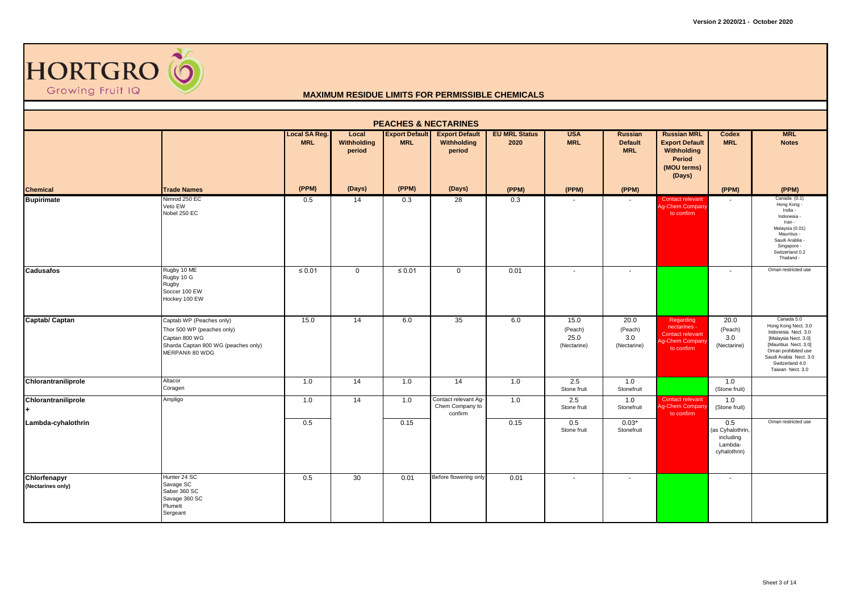

| <b>PEACHES &amp; NECTARINES</b><br><b>MRL</b><br><b>Local SA Reg.</b><br><b>Export Default</b><br><b>EU MRL Status</b><br><b>USA</b><br><b>Russian MRL</b><br>Local<br><b>Export Default</b><br><b>Russian</b><br>Codex |                                                                                                                                  |             |                       |             |                                                    |       |                                        |                                       |                                                                                             |                                                                 |                                                                                                                                                                                                   |  |  |
|-------------------------------------------------------------------------------------------------------------------------------------------------------------------------------------------------------------------------|----------------------------------------------------------------------------------------------------------------------------------|-------------|-----------------------|-------------|----------------------------------------------------|-------|----------------------------------------|---------------------------------------|---------------------------------------------------------------------------------------------|-----------------------------------------------------------------|---------------------------------------------------------------------------------------------------------------------------------------------------------------------------------------------------|--|--|
|                                                                                                                                                                                                                         |                                                                                                                                  | <b>MRL</b>  | Withholding<br>period | <b>MRL</b>  | Withholding<br>period                              | 2020  | <b>MRL</b>                             | <b>Default</b><br><b>MRL</b>          | <b>Export Default</b><br>Withholding<br>Period<br>(MOU terms)<br>(Days)                     | <b>MRL</b>                                                      | <b>Notes</b>                                                                                                                                                                                      |  |  |
| <b>Chemical</b>                                                                                                                                                                                                         | <b>Trade Names</b>                                                                                                               | (PPM)       | (Days)                | (PPM)       | (Days)                                             | (PPM) | (PPM)                                  | (PPM)                                 |                                                                                             | (PPM)                                                           | (PPM)                                                                                                                                                                                             |  |  |
| <b>Bupirimate</b>                                                                                                                                                                                                       | Nimrod 250 EC<br>Veto EW<br>Nobel 250 EC                                                                                         | 0.5         | 14                    | 0.3         | 28                                                 | 0.3   |                                        |                                       | <b>Contact relevant</b><br>Ag-Chem Company<br>to confirm                                    |                                                                 | Canada (0.1)<br>Hong Kong -<br>India -<br>Indonesia -<br>Iran -<br>Malaysia (0.01)<br>Mauritius -<br>Saudi Arablia -<br>Singapore -<br>Switzerland 0.2<br>Thailand -                              |  |  |
| <b>Cadusafos</b>                                                                                                                                                                                                        | Rugby 10 ME<br>Rugby 10 G<br>Rugby<br>Soccer 100 EW<br>Hockey 100 EW                                                             | $\leq 0.01$ | $\mathbf{0}$          | $\leq 0.01$ | $\overline{0}$                                     | 0.01  | $\sim$                                 | $\sim$                                |                                                                                             | $\overline{\phantom{a}}$                                        | Oman restricted use                                                                                                                                                                               |  |  |
| Captab/ Captan                                                                                                                                                                                                          | Captab WP (Peaches only)<br>Thor 500 WP (peaches only)<br>Captan 800 WG<br>Sharda Captan 800 WG (peaches only)<br>MERPAN® 80 WDG | 15.0        | $\overline{14}$       | 6.0         | 35                                                 | 6.0   | 15.0<br>(Peach)<br>25.0<br>(Nectarine) | 20.0<br>(Peach)<br>3.0<br>(Nectarine) | Regarding<br>nectarines -<br><b>Contact relevant</b><br><b>Ag-Chem Compan</b><br>to confirm | 20.0<br>(Peach)<br>3.0<br>(Nectarine)                           | Canada 5.0<br>Hong Kong Nect. 3.0<br>Indonesia Nect. 3.0<br>[Malaysia Nect. 3.0]<br>[Mauritius Nect. 3.0]<br>Oman prohibited use<br>Saudi Arabia Nect. 3.0<br>Switzerland 4.0<br>Taiwan Nect. 3.0 |  |  |
| Chlorantraniliprole                                                                                                                                                                                                     | Altacor<br>Coragen                                                                                                               | 1.0         | 14                    | 1.0         | 14                                                 | 1.0   | 2.5<br>Stone fruit                     | 1.0<br>Stonefruit                     |                                                                                             | 1.0<br>(Stone fruit)                                            |                                                                                                                                                                                                   |  |  |
| Chlorantraniliprole                                                                                                                                                                                                     | Ampligo                                                                                                                          | 1.0         | 14                    | 1.0         | Contact relevant Ag-<br>Chem Company to<br>confirm | 1.0   | 2.5<br>Stone fruit                     | 1.0<br>Stonefruit                     | Contact relevant<br>Ag-Chem Compan<br>to confirm                                            | 1.0<br>(Stone fruit)                                            |                                                                                                                                                                                                   |  |  |
| Lambda-cyhalothrin                                                                                                                                                                                                      |                                                                                                                                  | 0.5         |                       | 0.15        |                                                    | 0.15  | 0.5<br>Stone fruit                     | $0.03*$<br>Stonefruit                 |                                                                                             | 0.5<br>(as Cyhalothrin,<br>including<br>Lambda-<br>cyhalothrin) | Oman restricted use                                                                                                                                                                               |  |  |
| Chlorfenapyr<br>(Nectarines only)                                                                                                                                                                                       | Hunter 24 SC<br>Savage SC<br>Saber 360 SC<br>Savage 360 SC<br>Plumett<br>Sergeant                                                | 0.5         | 30                    | 0.01        | Before flowering only                              | 0.01  | $\blacksquare$                         | $\sim$                                |                                                                                             | $\sim$                                                          |                                                                                                                                                                                                   |  |  |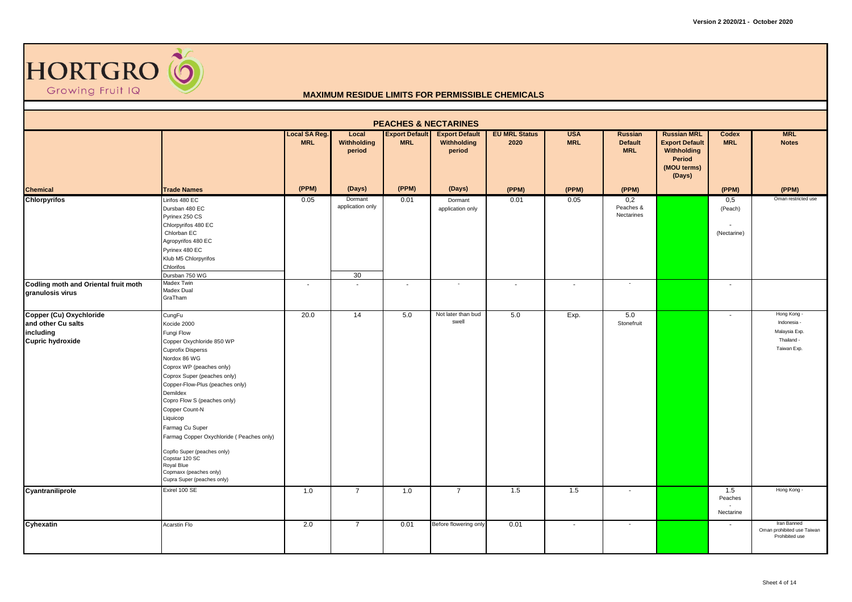

|                                                                                       |                                                                                                                                                                                                                                                                                                                                                                                                                                                                           |                                    |                                   | <b>PEACHES &amp; NECTARINES</b>     |                                                |                              |                          |                                         |                                                                                               |                                       |                                                                          |
|---------------------------------------------------------------------------------------|---------------------------------------------------------------------------------------------------------------------------------------------------------------------------------------------------------------------------------------------------------------------------------------------------------------------------------------------------------------------------------------------------------------------------------------------------------------------------|------------------------------------|-----------------------------------|-------------------------------------|------------------------------------------------|------------------------------|--------------------------|-----------------------------------------|-----------------------------------------------------------------------------------------------|---------------------------------------|--------------------------------------------------------------------------|
|                                                                                       |                                                                                                                                                                                                                                                                                                                                                                                                                                                                           | <b>Local SA Reg.</b><br><b>MRL</b> | Local<br>Withholding<br>period    | <b>Export Default</b><br><b>MRL</b> | <b>Export Default</b><br>Withholding<br>period | <b>EU MRL Status</b><br>2020 | <b>USA</b><br><b>MRL</b> | Russian<br><b>Default</b><br><b>MRL</b> | <b>Russian MRL</b><br><b>Export Default</b><br>Withholding<br>Period<br>(MOU terms)<br>(Days) | Codex<br><b>MRL</b>                   | <b>MRL</b><br><b>Notes</b>                                               |
| <b>Chemical</b>                                                                       | <b>Trade Names</b>                                                                                                                                                                                                                                                                                                                                                                                                                                                        | (PPM)                              | (Days)                            | (PPM)                               | (Days)                                         | (PPM)                        | (PPM)                    | (PPM)                                   |                                                                                               | (PPM)                                 | (PPM)                                                                    |
| <b>Chlorpyrifos</b>                                                                   | Lirifos 480 EC<br>Dursban 480 EC<br>Pyrinex 250 CS<br>Chlorpyrifos 480 EC<br>Chlorban EC<br>Agropyrifos 480 EC<br>Pyrinex 480 EC<br>Klub M5 Chlorpyrifos<br>Chlorifos<br>Dursban 750 WG                                                                                                                                                                                                                                                                                   | 0.05                               | Dormant<br>application only<br>30 | 0.01                                | Dormant<br>application only                    | 0.01                         | 0.05                     | 0,2<br>Peaches &<br>Nectarines          |                                                                                               | 0,5<br>(Peach)<br>(Nectarine)         | Oman restricted use                                                      |
| <b>Codling moth and Oriental fruit moth</b><br>granulosis virus                       | Madex Twin<br>Madex Dual<br>GraTham                                                                                                                                                                                                                                                                                                                                                                                                                                       | $\sim$                             | ۰                                 | $\overline{\phantom{a}}$            | $\sim$                                         | $\overline{\phantom{a}}$     | $\blacksquare$           | $\sim$                                  |                                                                                               | $\overline{\phantom{a}}$              |                                                                          |
| Copper (Cu) Oxychloride<br>and other Cu salts<br>including<br><b>Cupric hydroxide</b> | CungFu<br>Kocide 2000<br>Fungi Flow<br>Copper Oxychloride 850 WP<br><b>Cuprofix Disperss</b><br>Nordox 86 WG<br>Coprox WP (peaches only)<br>Coprox Super (peaches only)<br>Copper-Flow-Plus (peaches only)<br>Demildex<br>Copro Flow S (peaches only)<br>Copper Count-N<br>Liquicop<br>Farmag Cu Super<br>Farmag Copper Oxychloride (Peaches only)<br>Copflo Super (peaches only)<br>Copstar 120 SC<br>Royal Blue<br>Copmaxx (peaches only)<br>Cupra Super (peaches only) | 20.0                               | 14                                | 5.0                                 | Not later than bud<br>swell                    | 5.0                          | Exp.                     | 5.0<br>Stonefruit                       |                                                                                               | $\overline{\phantom{a}}$              | Hong Kong -<br>Indonesia -<br>Malaysia Exp.<br>Thailand -<br>Taiwan Exp. |
| Cyantraniliprole                                                                      | Exirel 100 SE                                                                                                                                                                                                                                                                                                                                                                                                                                                             | 1.0                                | $\overline{7}$                    | 1.0                                 | $\overline{7}$                                 | 1.5                          | 1.5                      | $\overline{\phantom{a}}$                |                                                                                               | 1.5<br>Peaches<br>$\sim$<br>Nectarine | Hong Kong -                                                              |
| Cyhexatin                                                                             | Acarstin Flo                                                                                                                                                                                                                                                                                                                                                                                                                                                              | 2.0                                | $\overline{7}$                    | 0.01                                | Before flowering only                          | 0.01                         | $\sim$                   | $\sim$                                  |                                                                                               | $\overline{\phantom{a}}$              | Iran Banned<br>Oman prohibited use Taiwan<br>Prohibited use              |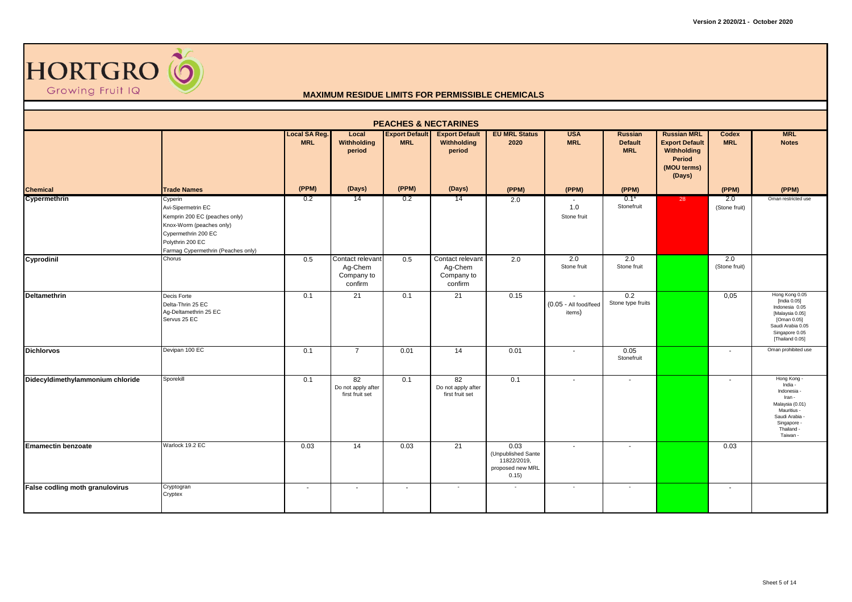

| <b>PEACHES &amp; NECTARINES</b><br><b>EU MRL Status</b><br><b>MRL</b><br><b>Local SA Reg.</b><br><b>Export Default</b><br><b>USA</b><br><b>Russian MRL</b><br>Local<br><b>Export Default</b><br>Russian<br>Codex |                                                                                                                                                                             |            |                                                      |                          |                                                      |                                                                        |                                           |                              |                                                                         |                          |                                                                                                                                              |  |  |
|------------------------------------------------------------------------------------------------------------------------------------------------------------------------------------------------------------------|-----------------------------------------------------------------------------------------------------------------------------------------------------------------------------|------------|------------------------------------------------------|--------------------------|------------------------------------------------------|------------------------------------------------------------------------|-------------------------------------------|------------------------------|-------------------------------------------------------------------------|--------------------------|----------------------------------------------------------------------------------------------------------------------------------------------|--|--|
|                                                                                                                                                                                                                  |                                                                                                                                                                             | <b>MRL</b> | Withholding<br>period                                | <b>MRL</b>               | Withholding<br>period                                | 2020                                                                   | <b>MRL</b>                                | <b>Default</b><br><b>MRL</b> | <b>Export Default</b><br>Withholding<br>Period<br>(MOU terms)<br>(Days) | <b>MRL</b>               | <b>Notes</b>                                                                                                                                 |  |  |
| <b>Chemical</b>                                                                                                                                                                                                  | <b>Trade Names</b>                                                                                                                                                          | (PPM)      | (Days)                                               | (PPM)                    | (Days)                                               | (PPM)                                                                  | (PPM)                                     | (PPM)                        |                                                                         | (PPM)                    | (PPM)                                                                                                                                        |  |  |
| Cypermethrin                                                                                                                                                                                                     | Cyperin<br>Avi-Sipermetrin EC<br>Kemprin 200 EC (peaches only)<br>Knox-Worm (peaches only)<br>Cypermethrin 200 EC<br>Polythrin 200 EC<br>Farmag Cypermethrin (Peaches only) | 0.2        | 14                                                   | 0.2                      | 14                                                   | 2.0                                                                    | 1.0<br>Stone fruit                        | $0.1*$<br>Stonefruit         | 28                                                                      | 2.0<br>(Stone fruit)     | Oman restricted use                                                                                                                          |  |  |
| Cyprodinil                                                                                                                                                                                                       | Chorus                                                                                                                                                                      | 0.5        | Contact relevant<br>Ag-Chem<br>Company to<br>confirm | 0.5                      | Contact relevant<br>Ag-Chem<br>Company to<br>confirm | 2.0                                                                    | 2.0<br>Stone fruit                        | 2.0<br>Stone fruit           |                                                                         | 2.0<br>(Stone fruit)     |                                                                                                                                              |  |  |
| <b>Deltamethrin</b>                                                                                                                                                                                              | Decis Forte<br>Delta-Thrin 25 EC<br>Ag-Deltamethrin 25 EC<br>Servus 25 EC                                                                                                   | 0.1        | 21                                                   | 0.1                      | 21                                                   | 0.15                                                                   | $\sim$<br>(0.05 - All food/feed<br>items) | 0.2<br>Stone type fruits     |                                                                         | 0,05                     | Hong Kong 0.05<br>[India 0.05]<br>Indonesia 0.05<br>[Malaysia 0.05]<br>[Oman 0.05]<br>Saudi Arabia 0.05<br>Singapore 0.05<br>[Thailand 0.05] |  |  |
| <b>Dichlorvos</b>                                                                                                                                                                                                | Devipan 100 EC                                                                                                                                                              | 0.1        | $\overline{7}$                                       | 0.01                     | 14                                                   | 0.01                                                                   | $\sim$                                    | 0.05<br>Stonefruit           |                                                                         | $\blacksquare$           | Oman prohibited use                                                                                                                          |  |  |
| Didecyldimethylammonium chloride                                                                                                                                                                                 | Sporekill                                                                                                                                                                   | 0.1        | 82<br>Do not apply after<br>first fruit set          | 0.1                      | 82<br>Do not apply after<br>first fruit set          | 0.1                                                                    | $\overline{\phantom{a}}$                  | $\sim$                       |                                                                         |                          | Hong Kong -<br>India -<br>Indonesia -<br>Iran -<br>Malaysia (0.01)<br>Mauritius -<br>Saudi Arabia -<br>Singapore -<br>Thailand -<br>Taiwan - |  |  |
| <b>Emamectin benzoate</b>                                                                                                                                                                                        | Warlock 19.2 EC                                                                                                                                                             | 0.03       | 14                                                   | 0.03                     | 21                                                   | 0.03<br>(Unpublished Sante<br>11822/2019,<br>proposed new MRL<br>0.15) | $\sim$                                    | $\sim$                       |                                                                         | 0.03                     |                                                                                                                                              |  |  |
| False codling moth granulovirus                                                                                                                                                                                  | Cryptogran<br>Cryptex                                                                                                                                                       | $\sim$     | $\overline{\phantom{a}}$                             | $\overline{\phantom{a}}$ | $\sim$                                               | $\overline{\phantom{a}}$                                               | $\sim$                                    | $\sim$                       |                                                                         | $\overline{\phantom{a}}$ |                                                                                                                                              |  |  |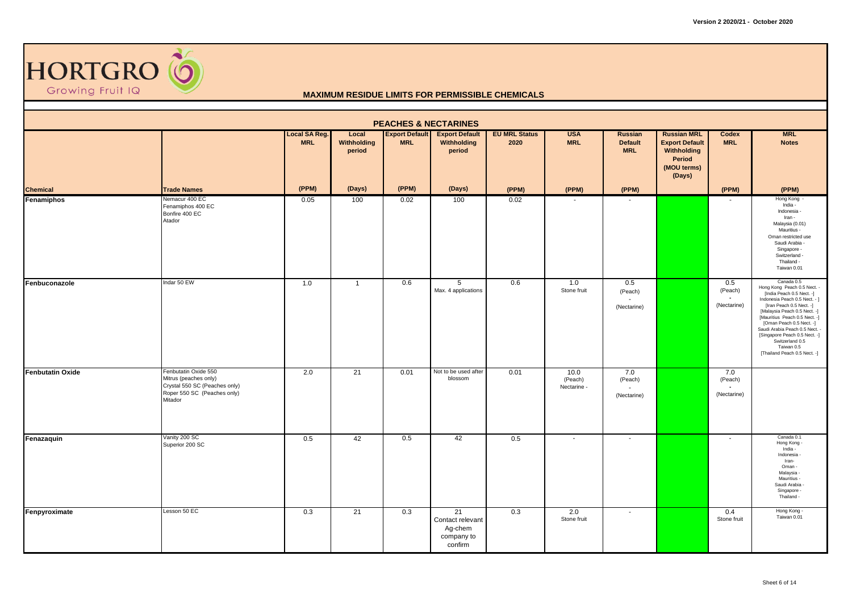

| <b>PEACHES &amp; NECTARINES</b><br><b>MRL</b><br>Local<br><b>Export Default</b><br><b>Export Default</b><br><b>EU MRL Status</b><br><b>USA</b><br><b>Russian MRL</b><br>Russian<br><b>Codex</b> |                                                                                                                          |                             |                       |            |                                                            |       |                                |                                    |                                                                         |                                                 |                                                                                                                                                                                                                                                                                                                                                                      |  |  |
|-------------------------------------------------------------------------------------------------------------------------------------------------------------------------------------------------|--------------------------------------------------------------------------------------------------------------------------|-----------------------------|-----------------------|------------|------------------------------------------------------------|-------|--------------------------------|------------------------------------|-------------------------------------------------------------------------|-------------------------------------------------|----------------------------------------------------------------------------------------------------------------------------------------------------------------------------------------------------------------------------------------------------------------------------------------------------------------------------------------------------------------------|--|--|
|                                                                                                                                                                                                 |                                                                                                                          | Local SA Reg.<br><b>MRL</b> | Withholding<br>period | <b>MRL</b> | Withholding<br>period                                      | 2020  | <b>MRL</b>                     | <b>Default</b><br><b>MRL</b>       | <b>Export Default</b><br>Withholding<br>Period<br>(MOU terms)<br>(Days) | <b>MRL</b>                                      | <b>Notes</b>                                                                                                                                                                                                                                                                                                                                                         |  |  |
| <b>Chemical</b>                                                                                                                                                                                 | <b>Trade Names</b>                                                                                                       | (PPM)                       | (Days)                | (PPM)      | (Days)                                                     | (PPM) | (PPM)                          | (PPM)                              |                                                                         | (PPM)                                           | (PPM)                                                                                                                                                                                                                                                                                                                                                                |  |  |
| Fenamiphos                                                                                                                                                                                      | Nemacur 400 EC<br>Fenamiphos 400 EC<br>Bonfire 400 EC<br>Atador                                                          | 0.05                        | 100                   | 0.02       | 100                                                        | 0.02  | $\sim$                         | $\sim$                             |                                                                         |                                                 | Hong Kong -<br>India -<br>Indonesia -<br>Iran -<br>Malaysia (0.01)<br>Mauritius -<br>Oman restricted use<br>Saudi Arabia<br>Singapore -<br>Switzerland -<br>Thailand -<br>Taiwan 0.01                                                                                                                                                                                |  |  |
| Fenbuconazole                                                                                                                                                                                   | Indar 50 EW                                                                                                              | 1.0                         | $\overline{1}$        | 0.6        | 5<br>Max. 4 applications                                   | 0.6   | 1.0<br>Stone fruit             | 0.5<br>(Peach)<br>÷<br>(Nectarine) |                                                                         | 0.5<br>(Peach)<br>(Nectarine)                   | Canada 0.5<br>Hong Kong Peach 0.5 Nect. -<br>[India Peach 0.5 Nect. -]<br>Indonesia Peach 0.5 Nect. - ]<br>[Iran Peach 0.5 Nect. -]<br>[Malaysia Peach 0.5 Nect. -]<br>[Mauritius Peach 0.5 Nect. -]<br>[Oman Peach 0.5 Nect. -]<br>Saudi Arabia Peach 0.5 Nect. -<br>[Singapore Peach 0.5 Nect. -]<br>Switzerland 0.5<br>Taiwan 0.5<br>[Thailand Peach 0.5 Nect. -] |  |  |
| <b>Fenbutatin Oxide</b>                                                                                                                                                                         | Fenbutatin Oxide 550<br>Mitrus (peaches only)<br>Crystal 550 SC (Peaches only)<br>Roper 550 SC (Peaches only)<br>Mitador | 2.0                         | 21                    | 0.01       | Not to be used after<br>blossom                            | 0.01  | 10.0<br>(Peach)<br>Nectarine - | 7.0<br>(Peach)<br>(Nectarine)      |                                                                         | 7.0<br>(Peach)<br>$\blacksquare$<br>(Nectarine) |                                                                                                                                                                                                                                                                                                                                                                      |  |  |
| Fenazaquin                                                                                                                                                                                      | Vanity 200 SC<br>Superior 200 SC                                                                                         | 0.5                         | 42                    | 0.5        | 42                                                         | 0.5   | $\sim$                         | $\sim$                             |                                                                         | $\blacksquare$                                  | Canada 0.1<br>Hong Kong -<br>India -<br>Indonesia -<br>Iran-<br>Oman -<br>Malaysia -<br>Mauritius -<br>Saudi Arabia -<br>Singapore -<br>Thailand -                                                                                                                                                                                                                   |  |  |
| Fenpyroximate                                                                                                                                                                                   | Lesson 50 EC                                                                                                             | 0.3                         | 21                    | 0.3        | 21<br>Contact relevant<br>Ag-chem<br>company to<br>confirm | 0.3   | 2.0<br>Stone fruit             | $\sim$                             |                                                                         | 0.4<br>Stone fruit                              | Hong Kong -<br>Taiwan 0.01                                                                                                                                                                                                                                                                                                                                           |  |  |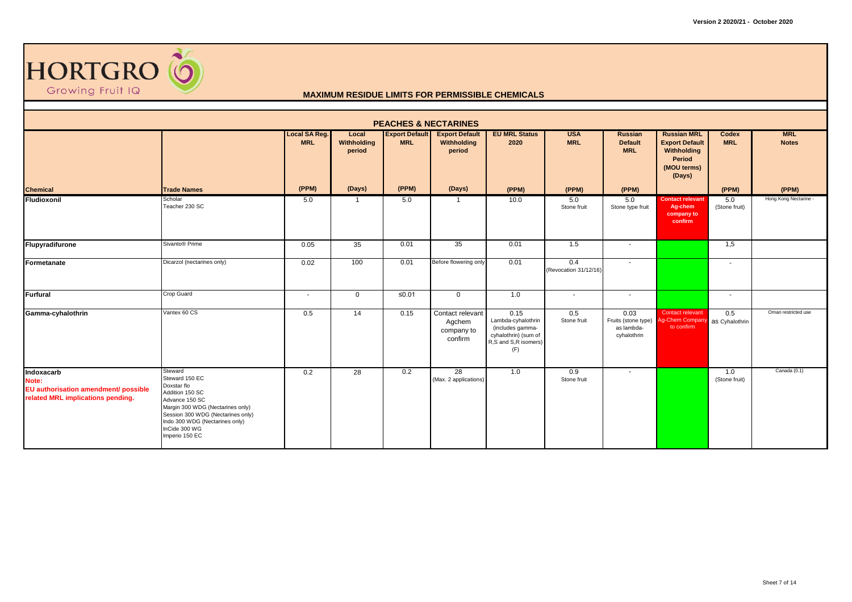

| <b>PEACHES &amp; NECTARINES</b>                                                                  |                                                                                                                                                                                                                             |                                    |                                |                                     |                                                     |                                                                                                       |                              |                                                                          |                                                                                               |                            |                            |  |  |
|--------------------------------------------------------------------------------------------------|-----------------------------------------------------------------------------------------------------------------------------------------------------------------------------------------------------------------------------|------------------------------------|--------------------------------|-------------------------------------|-----------------------------------------------------|-------------------------------------------------------------------------------------------------------|------------------------------|--------------------------------------------------------------------------|-----------------------------------------------------------------------------------------------|----------------------------|----------------------------|--|--|
|                                                                                                  |                                                                                                                                                                                                                             | <b>Local SA Reg.</b><br><b>MRL</b> | Local<br>Withholding<br>period | <b>Export Default</b><br><b>MRL</b> | <b>Export Default</b><br>Withholding<br>period      | <b>EU MRL Status</b><br>2020                                                                          | <b>USA</b><br><b>MRL</b>     | Russian<br><b>Default</b><br><b>MRL</b>                                  | <b>Russian MRL</b><br><b>Export Default</b><br>Withholding<br>Period<br>(MOU terms)<br>(Days) | <b>Codex</b><br><b>MRL</b> | <b>MRL</b><br><b>Notes</b> |  |  |
| <b>Chemical</b>                                                                                  | <b>Trade Names</b>                                                                                                                                                                                                          | (PPM)                              | (Days)                         | (PPM)                               | (Days)                                              | (PPM)                                                                                                 | (PPM)                        | (PPM)                                                                    |                                                                                               | (PPM)                      | (PPM)                      |  |  |
| <b>Fludioxonil</b>                                                                               | Scholar<br>Teacher 230 SC                                                                                                                                                                                                   | 5.0                                |                                | 5.0                                 | $\mathbf{1}$                                        | 10.0                                                                                                  | 5.0<br>Stone fruit           | 5.0<br>Stone type fruit                                                  | <b>Contact relevant</b><br>Ag-chem<br>company to<br>confirm                                   | 5.0<br>(Stone fruit)       | Hong Kong Nectarine -      |  |  |
| Flupyradifurone                                                                                  | Sivanto <sup>®</sup> Prime                                                                                                                                                                                                  | 0.05                               | 35                             | 0.01                                | 35                                                  | 0.01                                                                                                  | 1.5                          | $\sim$                                                                   |                                                                                               | 1,5                        |                            |  |  |
| Formetanate                                                                                      | Dicarzol (nectarines only)                                                                                                                                                                                                  | 0.02                               | 100                            | 0.01                                | Before flowering only                               | 0.01                                                                                                  | 0.4<br>(Revocation 31/12/16) | $\sim$                                                                   |                                                                                               | $\blacksquare$             |                            |  |  |
| <b>Furfural</b>                                                                                  | Crop Guard                                                                                                                                                                                                                  | $\sim$                             | $\Omega$                       | ≤0.01                               | $\mathbf{0}$                                        | 1.0                                                                                                   | $\sim$                       | $\sim$                                                                   |                                                                                               | $\overline{\phantom{a}}$   |                            |  |  |
| Gamma-cyhalothrin                                                                                | Vantex 60 CS                                                                                                                                                                                                                | 0.5                                | 14                             | 0.15                                | Contact relevant<br>Agchem<br>company to<br>confirm | 0.15<br>Lambda-cyhalothrin<br>(includes gamma-<br>cyhalothrin) (sum of<br>R,S and S,R isomers)<br>(F) | 0.5<br>Stone fruit           | 0.03<br>Fruits (stone type) Ag-Chem Company<br>as lambda-<br>cyhalothrin | Contact relevant<br>to confirm                                                                | 0.5<br>as Cyhalothrin      | Oman restricted use        |  |  |
| Indoxacarb<br>Note:<br>EU authorisation amendment/ possible<br>related MRL implications pending. | Steward<br>Steward 150 EC<br>Doxstar flo<br>Addition 150 SC<br>Advance 150 SC<br>Margin 300 WDG (Nectarines only)<br>Session 300 WDG (Nectarines only)<br>Indo 300 WDG (Nectarines only)<br>InCide 300 WG<br>Imperio 150 EC | 0.2                                | 28                             | 0.2                                 | $\overline{28}$<br>(Max. 2 applications)            | 1.0                                                                                                   | 0.9<br>Stone fruit           | $\sim$                                                                   |                                                                                               | 1.0<br>(Stone fruit)       | Canada (0.1)               |  |  |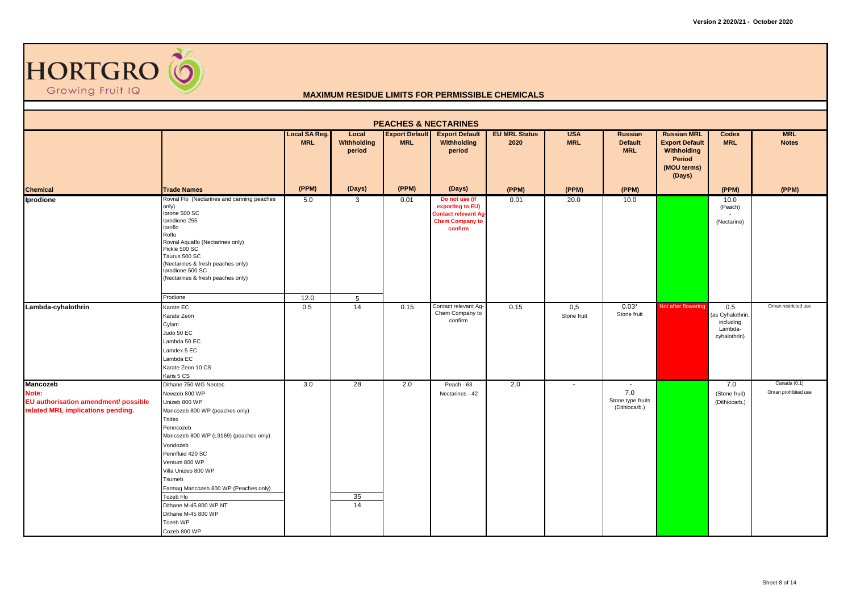

|                                                                                                       | <b>PEACHES &amp; NECTARINES</b>                                                                                                                                                                                                                                                                                                                                                 |                                    |                                |                                     |                                                                                                       |                              |                          |                                                     |                                                                                               |                                                                 |                                     |  |  |  |
|-------------------------------------------------------------------------------------------------------|---------------------------------------------------------------------------------------------------------------------------------------------------------------------------------------------------------------------------------------------------------------------------------------------------------------------------------------------------------------------------------|------------------------------------|--------------------------------|-------------------------------------|-------------------------------------------------------------------------------------------------------|------------------------------|--------------------------|-----------------------------------------------------|-----------------------------------------------------------------------------------------------|-----------------------------------------------------------------|-------------------------------------|--|--|--|
|                                                                                                       |                                                                                                                                                                                                                                                                                                                                                                                 | <b>Local SA Reg.</b><br><b>MRL</b> | Local<br>Withholding<br>period | <b>Export Default</b><br><b>MRL</b> | <b>Export Default</b><br>Withholding<br>period                                                        | <b>EU MRL Status</b><br>2020 | <b>USA</b><br><b>MRL</b> | Russian<br><b>Default</b><br><b>MRL</b>             | <b>Russian MRL</b><br><b>Export Default</b><br>Withholding<br>Period<br>(MOU terms)<br>(Days) | Codex<br><b>MRL</b>                                             | <b>MRL</b><br><b>Notes</b>          |  |  |  |
| <b>Chemical</b>                                                                                       | <b>Trade Names</b>                                                                                                                                                                                                                                                                                                                                                              | (PPM)                              | (Days)                         | (PPM)                               | (Days)                                                                                                | (PPM)                        | (PPM)                    | (PPM)                                               |                                                                                               | (PPM)                                                           | (PPM)                               |  |  |  |
| Iprodione                                                                                             | Rovral Flo (Nectarines and canning peaches<br>only)<br>Iprone 500 SC<br>Iprodione 255<br>Iproflo<br>Roflo<br>Rovral Aquaflo (Nectarines only)<br>Pickle 500 SC<br>Taurus 500 SC<br>(Nectarines & fresh peaches only)<br>Iprodione 500 SC<br>(Nectarines & fresh peaches only)                                                                                                   | 5.0                                | $\mathbf{3}$                   | 0.01                                | Do not use (if<br>exporting to EU)<br><b>Contact relevant Ag</b><br><b>Chem Company to</b><br>confirm | 0.01                         | 20.0                     | 10.0                                                |                                                                                               | 10.0<br>(Peach)<br>(Nectarine)                                  |                                     |  |  |  |
|                                                                                                       | Prodione                                                                                                                                                                                                                                                                                                                                                                        | 12.0                               | $5\overline{5}$                |                                     |                                                                                                       |                              |                          |                                                     |                                                                                               |                                                                 |                                     |  |  |  |
| Lambda-cyhalothrin                                                                                    | Karate EC<br>Karate Zeon<br>Cylam<br>Judo 50 EC<br>Lambda 50 EC<br>Lamdex 5 EC<br>Lambda EC<br>Karate Zeon 10 CS<br>Karis 5 CS                                                                                                                                                                                                                                                  | 0.5                                | $\overline{14}$                | 0.15                                | Contact relevant Ag-<br>Chem Company to<br>confirm                                                    | 0.15                         | 0,5<br>Stone fruit       | $0.03*$<br>Stone fruit                              | Not after flowering                                                                           | 0.5<br>(as Cyhalothrin,<br>including<br>Lambda-<br>cyhalothrin) | Oman restricted use                 |  |  |  |
| <b>Mancozeb</b><br>Note:<br>EU authorisation amendment/ possible<br>related MRL implications pending. | Dithane 750 WG Neotec<br>Newzeb 800 WP<br>Unizeb 800 WP<br>Mancozeb 800 WP (peaches only)<br>Tridex<br>Penncozeb<br>Mancozeb 800 WP (L9169) (peaches only)<br>Vondozeb<br>Pennfluid 420 SC<br>Ventum 800 WP<br>Villa Unizeb 800 WP<br>Tsumeb<br>Farmag Mancozeb 800 WP (Peaches only)<br>Tozeb Flo<br>Dithane M-45 800 WP NT<br>Dithane M-45 800 WP<br>Tozeb WP<br>Cozeb 800 WP | 3.0                                | 28<br>35<br>14                 | 2.0                                 | Peach - 63<br>Nectarines - 42                                                                         | 2.0                          | $\blacksquare$           | $\sim$<br>7.0<br>Stone type fruits<br>(Dithiocarb.) |                                                                                               | 7.0<br>(Stone fruit)<br>(Dithiocarb.)                           | Canada (0.1)<br>Oman prohibited use |  |  |  |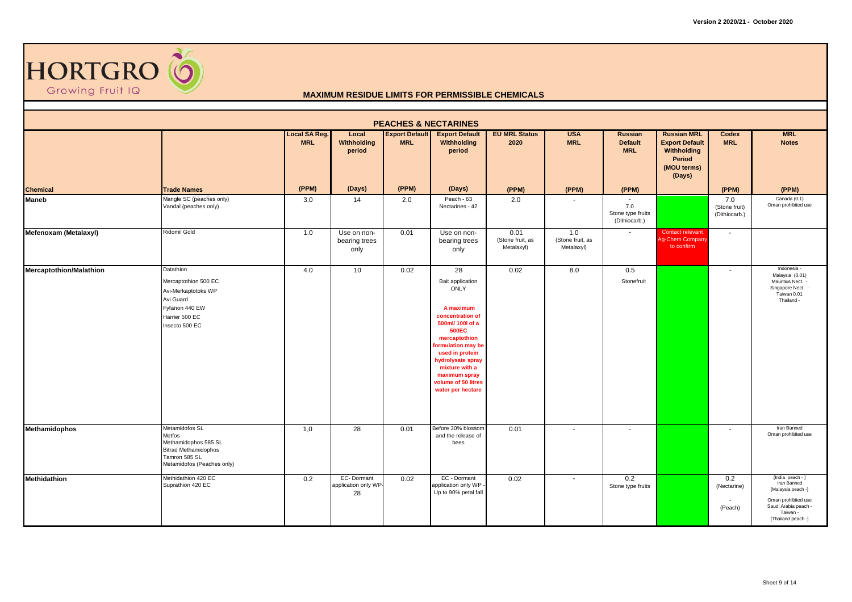

| <b>PEACHES &amp; NECTARINES</b><br><b>Export Default</b><br><b>MRL</b><br><b>Export Default</b><br><b>EU MRL Status</b><br><b>USA</b><br><b>Russian MRL</b><br>Local<br><b>Russian</b><br>Codex |                                                                                                                                |                             |                                          |            |                                                                                                                                                                                                                                                                          |                                        |                                       |                                                     |                                                                         |                                       |                                                                                                                                        |  |  |
|-------------------------------------------------------------------------------------------------------------------------------------------------------------------------------------------------|--------------------------------------------------------------------------------------------------------------------------------|-----------------------------|------------------------------------------|------------|--------------------------------------------------------------------------------------------------------------------------------------------------------------------------------------------------------------------------------------------------------------------------|----------------------------------------|---------------------------------------|-----------------------------------------------------|-------------------------------------------------------------------------|---------------------------------------|----------------------------------------------------------------------------------------------------------------------------------------|--|--|
|                                                                                                                                                                                                 |                                                                                                                                | Local SA Reg.<br><b>MRL</b> | Withholding<br>period                    | <b>MRL</b> | Withholding<br>period                                                                                                                                                                                                                                                    | 2020                                   | <b>MRL</b>                            | <b>Default</b><br><b>MRL</b>                        | <b>Export Default</b><br>Withholding<br>Period<br>(MOU terms)<br>(Days) | <b>MRL</b>                            | <b>Notes</b>                                                                                                                           |  |  |
| <b>Chemical</b>                                                                                                                                                                                 | <b>Trade Names</b>                                                                                                             | (PPM)                       | (Days)                                   | (PPM)      | (Days)                                                                                                                                                                                                                                                                   | (PPM)                                  | (PPM)                                 | (PPM)                                               |                                                                         | (PPM)                                 | (PPM)                                                                                                                                  |  |  |
| <b>Maneb</b>                                                                                                                                                                                    | Mangle SC (peaches only)<br>Vandal (peaches only)                                                                              | 3.0                         | 14                                       | 2.0        | Peach - 63<br>Nectarines - 42                                                                                                                                                                                                                                            | 2.0                                    |                                       | $\sim$<br>7.0<br>Stone type fruits<br>(Dithiocarb.) |                                                                         | 7.0<br>(Stone fruit)<br>(Dithiocarb.) | Canada (0.1)<br>Oman prohibited use                                                                                                    |  |  |
| Mefenoxam (Metalaxyl)                                                                                                                                                                           | <b>Ridomil Gold</b>                                                                                                            | 1.0                         | Use on non-<br>bearing trees<br>only     | 0.01       | Use on non-<br>bearing trees<br>only                                                                                                                                                                                                                                     | 0.01<br>(Stone fruit, as<br>Metalaxyl) | 1.0<br>(Stone fruit, as<br>Metalaxyl) | $\sim$                                              | Contact relevant<br>Ag-Chem Company<br>to confirm                       | $\sim$                                |                                                                                                                                        |  |  |
| <b>Mercaptothion/Malathion</b>                                                                                                                                                                  | Datathion<br>Mercaptothion 500 EC<br>Avi-Merkaptotoks WP<br>Avi Guard<br>Fyfanon 440 EW<br>Harrier 500 EC<br>Insecto 500 EC    | 4.0                         | 10                                       | 0.02       | 28<br>Bait application<br><b>ONLY</b><br>A maximum<br>concentration of<br>500ml/ 100l of a<br><b>500EC</b><br>mercaptothion<br>formulation may be<br>used in protein<br>hydrolysate spray<br>mixture with a<br>maximum spray<br>volume of 50 litres<br>water per hectare | 0.02                                   | 8.0                                   | 0.5<br>Stonefruit                                   |                                                                         |                                       | Indonesia -<br>Malaysia (0.01)<br>Mauritius Nect. -<br>Singapore Nect. -<br>Taiwan 0.01<br>Thailand -                                  |  |  |
| <b>Methamidophos</b>                                                                                                                                                                            | Metamidofos SL<br>Metfos<br>Methamidophos 585 SL<br><b>Bitrad Methamidophos</b><br>Tamron 585 SL<br>Metamidofos (Peaches only) | 1,0                         | 28                                       | 0.01       | Before 30% blossom<br>and the release of<br>bees                                                                                                                                                                                                                         | 0.01                                   |                                       | $\sim$                                              |                                                                         | . .                                   | Iran Banned<br>Oman prohibited use                                                                                                     |  |  |
| <b>Methidathion</b>                                                                                                                                                                             | Methidathion 420 EC<br>Suprathion 420 EC                                                                                       | 0.2                         | EC-Dormant<br>application only WP-<br>28 | 0.02       | EC - Dormant<br>application only WP -<br>Up to 90% petal fall                                                                                                                                                                                                            | 0.02                                   | $\overline{\phantom{a}}$              | 0.2<br>Stone type fruits                            |                                                                         | 0.2<br>(Nectarine)<br>(Peach)         | [India peach - ]<br>Iran Banned<br>[Malaysia peach -]<br>Oman prohibited use<br>Saudi Arabia peach -<br>Taiwan -<br>[Thailand peach -] |  |  |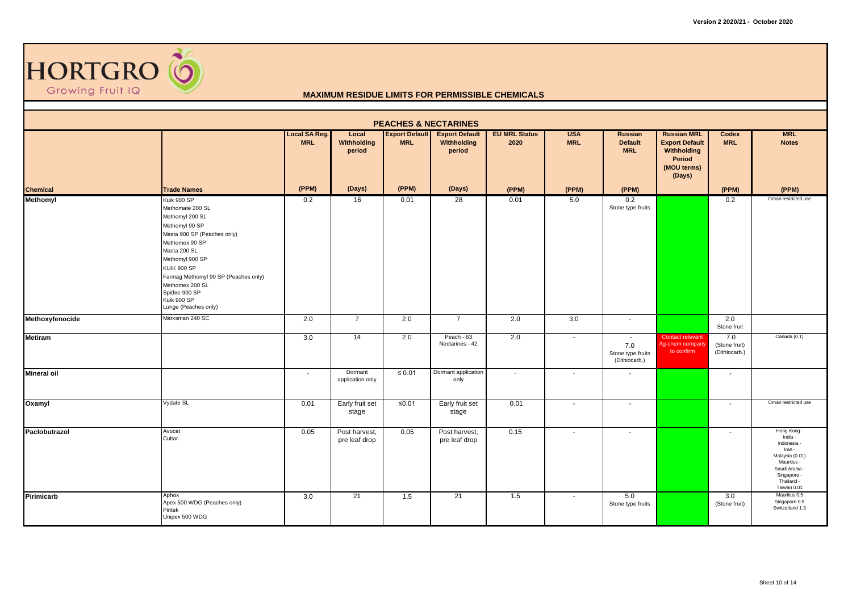

| <b>PEACHES &amp; NECTARINES</b> |                                                                                                                                                                                                                                                                                                     |                             |                                |                                     |                                                |                              |                          |                                                     |                                                                                               |                                       |                                                                                                                                                                |  |  |
|---------------------------------|-----------------------------------------------------------------------------------------------------------------------------------------------------------------------------------------------------------------------------------------------------------------------------------------------------|-----------------------------|--------------------------------|-------------------------------------|------------------------------------------------|------------------------------|--------------------------|-----------------------------------------------------|-----------------------------------------------------------------------------------------------|---------------------------------------|----------------------------------------------------------------------------------------------------------------------------------------------------------------|--|--|
|                                 |                                                                                                                                                                                                                                                                                                     | Local SA Reg.<br><b>MRL</b> | Local<br>Withholding<br>period | <b>Export Default</b><br><b>MRL</b> | <b>Export Default</b><br>Withholding<br>period | <b>EU MRL Status</b><br>2020 | <b>USA</b><br><b>MRL</b> | Russian<br><b>Default</b><br><b>MRL</b>             | <b>Russian MRL</b><br><b>Export Default</b><br>Withholding<br>Period<br>(MOU terms)<br>(Days) | Codex<br><b>MRL</b>                   | <b>MRL</b><br><b>Notes</b>                                                                                                                                     |  |  |
| <b>Chemical</b>                 | <b>Trade Names</b>                                                                                                                                                                                                                                                                                  | (PPM)                       | (Days)                         | (PPM)                               | (Days)                                         | (PPM)                        | (PPM)                    | (PPM)                                               |                                                                                               | (PPM)                                 | (PPM)                                                                                                                                                          |  |  |
| <b>Methomyl</b>                 | Kuik 900 SP<br>Methomate 200 SL<br>Methomyl 200 SL<br>Methomyl 90 SP<br>Masta 900 SP (Peaches only)<br>Methomex 90 SP<br>Masta 200 SL<br>Methomyl 900 SP<br><b>KUIK 900 SP</b><br>Farmag Methomyl 90 SP (Peaches only)<br>Methomex 200 SL<br>Spitfire 900 SP<br>Kuik 900 SP<br>Lunge (Peaches only) | 0.2                         | 16                             | 0.01                                | 28                                             | 0.01                         | 5.0                      | 0.2<br>Stone type fruits                            |                                                                                               | 0.2                                   | Oman restricted use                                                                                                                                            |  |  |
| Methoxyfenocide                 | Marksman 240 SC                                                                                                                                                                                                                                                                                     | 2.0                         | $\overline{7}$                 | 2.0                                 | $\overline{7}$                                 | 2.0                          | 3,0                      | $\sim$                                              |                                                                                               | 2.0<br>Stone fruit                    |                                                                                                                                                                |  |  |
| <b>Metiram</b>                  |                                                                                                                                                                                                                                                                                                     | 3.0                         | 14                             | 2.0                                 | Peach - 63<br>Nectarines - 42                  | 2.0                          | $\sim$                   | $\sim$<br>7.0<br>Stone type fruits<br>(Dithiocarb.) | Contact relevant<br>Ag-chem company<br>to confirm                                             | 7.0<br>(Stone fruit)<br>(Dithiocarb.) | Canada (0.1)                                                                                                                                                   |  |  |
| <b>Mineral oil</b>              |                                                                                                                                                                                                                                                                                                     | $\sim$                      | Dormant<br>application only    | $\leq 0.01$                         | Dormant application<br>only                    | $\blacksquare$               | $\overline{\phantom{a}}$ | $\sim$                                              |                                                                                               | $\overline{\phantom{a}}$              |                                                                                                                                                                |  |  |
| Oxamyl                          | Vydate SL                                                                                                                                                                                                                                                                                           | 0.01                        | Early fruit set<br>stage       | ≤ $0.01$                            | Early fruit set<br>stage                       | 0.01                         | $\sim$                   | $\sim$                                              |                                                                                               | $\overline{\phantom{a}}$              | Oman restricted use                                                                                                                                            |  |  |
| Paclobutrazol                   | Avocet<br>Cultar                                                                                                                                                                                                                                                                                    | 0.05                        | Post harvest,<br>pre leaf drop | 0.05                                | Post harvest,<br>pre leaf drop                 | 0.15                         | $\sim$                   | $\sim$                                              |                                                                                               | ٠                                     | Hong Kong -<br>India -<br>Indonesia -<br>Iran -<br>Malaysia (0.01)<br>Mauritius -<br>Saudi Arabia<br>Singapore -<br>Thailand -<br>Taiwan 0.01<br>Mauritius 0.5 |  |  |
| Pirimicarb                      | Aphox<br>Apex 500 WDG (Peaches only)<br>Piritek<br>Unipex 500 WDG                                                                                                                                                                                                                                   | 3.0                         | 21                             | 1.5                                 | 21                                             | 1.5                          | $\sim$                   | 5.0<br>Stone type fruits                            |                                                                                               | 3.0<br>(Stone fruit)                  | Singapore 0.5<br>Switzerland 1.3                                                                                                                               |  |  |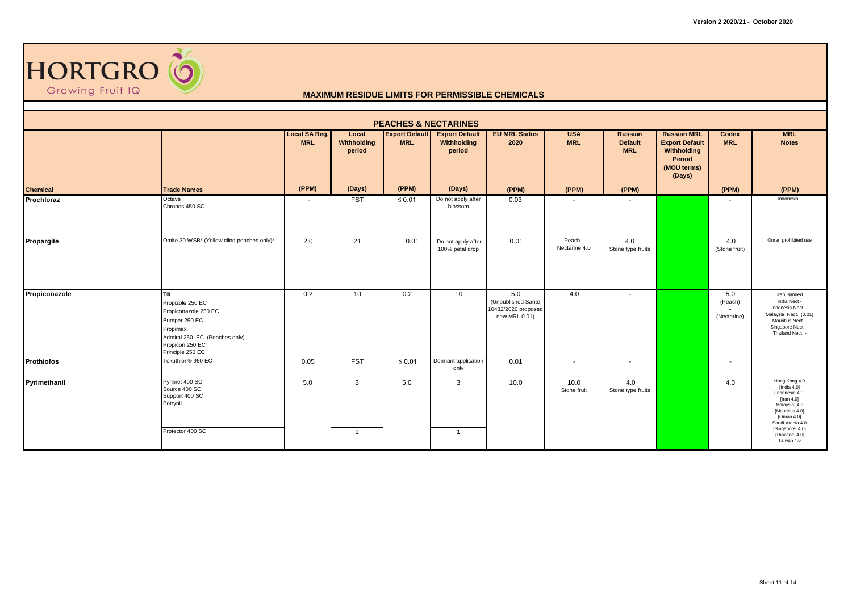

| <b>PEACHES &amp; NECTARINES</b> |                                                                                                                                                       |                                    |                                |                                     |                                                |                                                                   |                          |                                         |                                                                                               |                               |                                                                                                                                                                                               |  |  |  |
|---------------------------------|-------------------------------------------------------------------------------------------------------------------------------------------------------|------------------------------------|--------------------------------|-------------------------------------|------------------------------------------------|-------------------------------------------------------------------|--------------------------|-----------------------------------------|-----------------------------------------------------------------------------------------------|-------------------------------|-----------------------------------------------------------------------------------------------------------------------------------------------------------------------------------------------|--|--|--|
|                                 |                                                                                                                                                       | <b>Local SA Reg.</b><br><b>MRL</b> | Local<br>Withholding<br>period | <b>Export Default</b><br><b>MRL</b> | <b>Export Default</b><br>Withholding<br>period | <b>EU MRL Status</b><br>2020                                      | <b>USA</b><br><b>MRL</b> | Russian<br><b>Default</b><br><b>MRL</b> | <b>Russian MRL</b><br><b>Export Default</b><br>Withholding<br>Period<br>(MOU terms)<br>(Days) | Codex<br><b>MRL</b>           | <b>MRL</b><br><b>Notes</b>                                                                                                                                                                    |  |  |  |
| <b>Chemical</b>                 | <b>Trade Names</b>                                                                                                                                    | (PPM)                              | (Days)                         | (PPM)                               | (Days)                                         | (PPM)                                                             | (PPM)                    | (PPM)                                   |                                                                                               | (PPM)                         | (PPM)                                                                                                                                                                                         |  |  |  |
| Prochloraz                      | Octave<br>Chronos 450 SC                                                                                                                              | $\overline{\phantom{a}}$           | <b>FST</b>                     | ≤ $0.01$                            | Do not apply after<br>blossom                  | 0.03                                                              |                          | $\sim$                                  |                                                                                               |                               | Indonesia -                                                                                                                                                                                   |  |  |  |
| Propargite                      | Omite 30 WSB* (Yellow cling peaches only)*                                                                                                            | 2.0                                | 21                             | 0.01                                | Do not apply after<br>100% petal drop          | 0.01                                                              | Peach -<br>Nectarine 4.0 | 4.0<br>Stone type fruits                |                                                                                               | 4.0<br>(Stone fruit)          | Oman prohibited use                                                                                                                                                                           |  |  |  |
| Propiconazole                   | Tilt<br>Propizole 250 EC<br>Propiconazole 250 EC<br>Bumper 250 EC<br>Propimax<br>Admiral 250 EC (Peaches only)<br>Propicon 250 EC<br>Principle 250 EC | 0.2                                | 10                             | 0.2                                 | 10                                             | 5.0<br>(Unpublished Sante<br>10482/2020 proposed<br>new MRL 0.01) | 4.0                      | $\sim$                                  |                                                                                               | 5.0<br>(Peach)<br>(Nectarine) | Iran Banned<br>India Nect -<br>Indonesia Nect. -<br>Malaysia Nect. (0.01)<br>Mauritius Nect. -<br>Singapore Nect. -<br>Thailand Nect. -                                                       |  |  |  |
| <b>Prothiofos</b>               | Tokuthion® 960 EC                                                                                                                                     | 0.05                               | <b>FST</b>                     | $\leq 0.01$                         | Dormant application<br>only                    | 0.01                                                              | $\sim$                   | $\sim$                                  |                                                                                               | $\overline{\phantom{a}}$      |                                                                                                                                                                                               |  |  |  |
| Pyrimethanil                    | Pyrimet 400 SC<br>Source 400 SC<br>Support 400 SC<br>Botrynil<br>Protector 400 SC                                                                     | 5.0                                | 3<br>$\overline{1}$            | 5.0                                 | $\mathbf{3}$<br>$\mathbf{1}$                   | 10.0                                                              | 10.0<br>Stone fruit      | 4.0<br>Stone type fruits                |                                                                                               | 4.0                           | Hong Kong 4.0<br>[India $4.0$ ]<br>[Indonesia 4.0]<br>[Iran $4.0$ ]<br>[Malaysia 4.0]<br>[Mauritius 4.0]<br>[Oman 4.0]<br>Saudi Arabia 4.0<br>[Singapore 4.0]<br>[Thailand 4.0]<br>Taiwan 4.0 |  |  |  |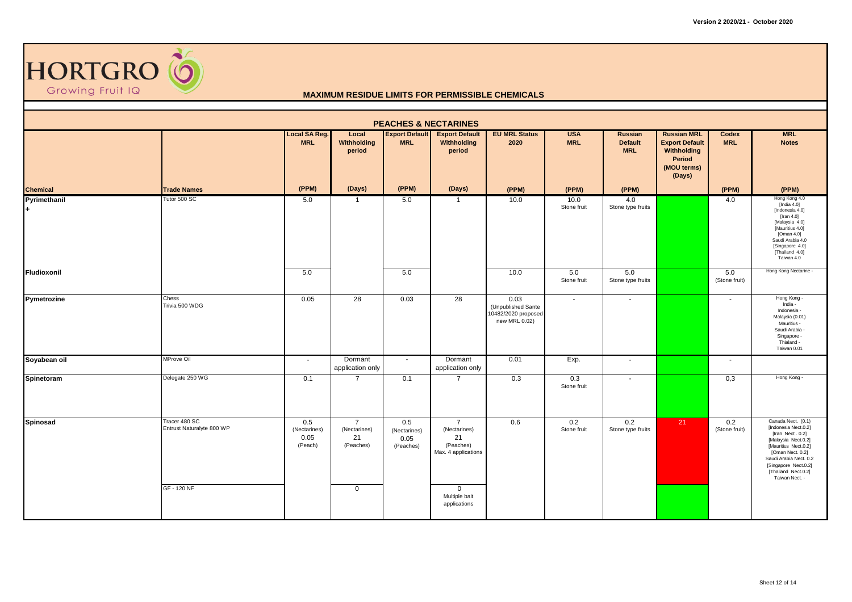

|                 |                                                           |                                        |                                                                  |                                          | <b>PEACHES &amp; NECTARINES</b>                                                          |                                                                    |                          |                                                |                                                                                               |                          |                                                                                                                                                                                                                              |
|-----------------|-----------------------------------------------------------|----------------------------------------|------------------------------------------------------------------|------------------------------------------|------------------------------------------------------------------------------------------|--------------------------------------------------------------------|--------------------------|------------------------------------------------|-----------------------------------------------------------------------------------------------|--------------------------|------------------------------------------------------------------------------------------------------------------------------------------------------------------------------------------------------------------------------|
|                 |                                                           | <b>Local SA Reg.</b><br><b>MRL</b>     | Local<br>Withholding<br>period                                   | <b>Export Default</b><br><b>MRL</b>      | <b>Export Default</b><br>Withholding<br>period                                           | <b>EU MRL Status</b><br>2020                                       | <b>USA</b><br><b>MRL</b> | <b>Russian</b><br><b>Default</b><br><b>MRL</b> | <b>Russian MRL</b><br><b>Export Default</b><br>Withholding<br>Period<br>(MOU terms)<br>(Days) | Codex<br><b>MRL</b>      | <b>MRL</b><br><b>Notes</b>                                                                                                                                                                                                   |
| <b>Chemical</b> | <b>Trade Names</b>                                        | (PPM)                                  | (Days)                                                           | (PPM)                                    | (Days)                                                                                   | (PPM)                                                              | (PPM)                    | (PPM)                                          |                                                                                               | (PPM)                    | (PPM)                                                                                                                                                                                                                        |
| Pyrimethanil    | Tutor 500 SC                                              | 5.0                                    | $\overline{1}$                                                   | 5.0                                      | $\mathbf{1}$                                                                             | 10.0                                                               | 10.0<br>Stone fruit      | 4.0<br>Stone type fruits                       |                                                                                               | 4.0                      | Hong Kong 4.0<br>[India 4.0]<br>[Indonesia 4.0]<br>[Iran $4.0$ ]<br>[Malaysia 4.0]<br>[Mauritius 4.0]<br>[Oman 4.0]<br>Saudi Arabia 4.0<br>[Singapore 4.0]<br>[Thailand 4.0]<br>Taiwan 4.0                                   |
| Fludioxonil     |                                                           | 5.0                                    |                                                                  | 5.0                                      |                                                                                          | 10.0                                                               | 5.0<br>Stone fruit       | 5.0<br>Stone type fruits                       |                                                                                               | 5.0<br>(Stone fruit)     | Hong Kong Nectarine -                                                                                                                                                                                                        |
| Pymetrozine     | Chess<br>Trivia 500 WDG                                   | 0.05                                   | 28                                                               | 0.03                                     | $\overline{28}$                                                                          | 0.03<br>(Unpublished Sante<br>10482/2020 proposed<br>new MRL 0.02) | $\blacksquare$           | $\blacksquare$                                 |                                                                                               | $\overline{\phantom{a}}$ | Hong Kong -<br>India -<br>Indonesia -<br>Malaysia (0.01)<br>Mauritius -<br>Saudi Arabia -<br>Singapore -<br>Thialand -<br>Taiwan 0.01                                                                                        |
| Soyabean oil    | MProve Oil                                                | $\sim$                                 | Dormant<br>application only                                      | $\sim$                                   | Dormant<br>application only                                                              | 0.01                                                               | Exp.                     | $\blacksquare$                                 |                                                                                               | $\sim$                   |                                                                                                                                                                                                                              |
| Spinetoram      | Delegate 250 WG                                           | 0.1                                    | $\overline{7}$                                                   | 0.1                                      | $\overline{7}$                                                                           | 0.3                                                                | 0.3<br>Stone fruit       | $\sim$                                         |                                                                                               | 0,3                      | Hong Kong -                                                                                                                                                                                                                  |
| <b>Spinosad</b> | Tracer 480 SC<br>Entrust Naturalyte 800 WP<br>GF - 120 NF | 0.5<br>(Nectarines)<br>0.05<br>(Peach) | $\overline{7}$<br>(Nectarines)<br>21<br>(Peaches)<br>$\mathbf 0$ | 0.5<br>(Nectarines)<br>0.05<br>(Peaches) | $\overline{7}$<br>(Nectarines)<br>21<br>(Peaches)<br>Max. 4 applications<br>$\mathbf{0}$ | 0.6                                                                | 0.2<br>Stone fruit       | 0.2<br>Stone type fruits                       | 21                                                                                            | 0.2<br>(Stone fruit)     | Canada Nect. (0.1)<br>[Indonesia Nect.0.2]<br>[Iran Nect. 0.2]<br>[Malaysia Nect.0.2]<br>[Mauritius Nect.0.2]<br>[Oman Nect. 0.2]<br>Saudi Arabia Nect. 0.2<br>[Singapore Nect.0.2]<br>[Thailand Nect.0.2]<br>Taiwan Nect. - |
|                 |                                                           |                                        |                                                                  |                                          | Multiple bait<br>applications                                                            |                                                                    |                          |                                                |                                                                                               |                          |                                                                                                                                                                                                                              |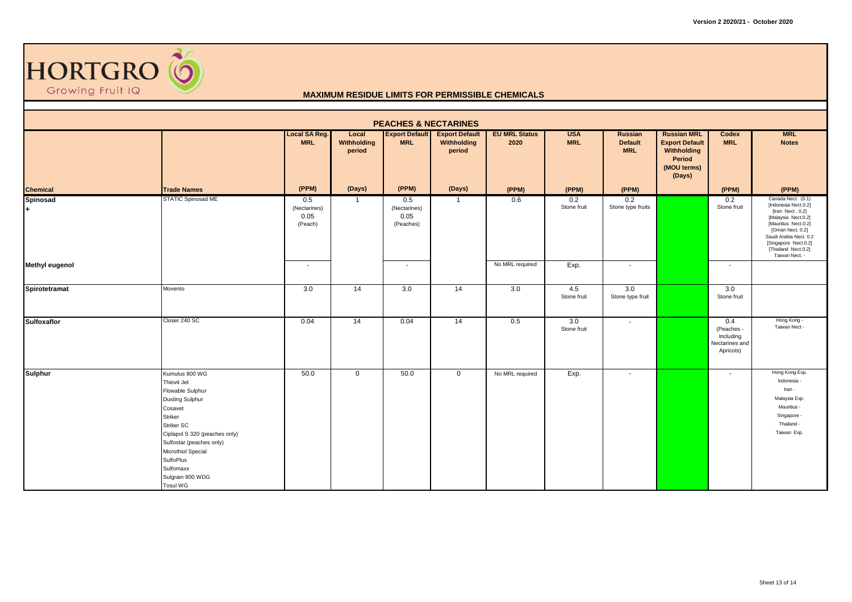

| <b>PEACHES &amp; NECTARINES</b> |                                                                                                                                                                                                                                                                     |                                        |                                |                                          |                                                |                              |                          |                                         |                                                                                               |                                                               |                                                                                                                                                                                                                              |
|---------------------------------|---------------------------------------------------------------------------------------------------------------------------------------------------------------------------------------------------------------------------------------------------------------------|----------------------------------------|--------------------------------|------------------------------------------|------------------------------------------------|------------------------------|--------------------------|-----------------------------------------|-----------------------------------------------------------------------------------------------|---------------------------------------------------------------|------------------------------------------------------------------------------------------------------------------------------------------------------------------------------------------------------------------------------|
|                                 |                                                                                                                                                                                                                                                                     | Local SA Reg.<br><b>MRL</b>            | Local<br>Withholding<br>period | <b>Export Default</b><br><b>MRL</b>      | <b>Export Default</b><br>Withholding<br>period | <b>EU MRL Status</b><br>2020 | <b>USA</b><br><b>MRL</b> | Russian<br><b>Default</b><br><b>MRL</b> | <b>Russian MRL</b><br><b>Export Default</b><br>Withholding<br>Period<br>(MOU terms)<br>(Days) | Codex<br><b>MRL</b>                                           | <b>MRL</b><br><b>Notes</b>                                                                                                                                                                                                   |
| <b>Chemical</b>                 | <b>Trade Names</b>                                                                                                                                                                                                                                                  | (PPM)                                  | (Days)                         | (PPM)                                    | (Days)                                         | (PPM)                        | (PPM)                    | (PPM)                                   |                                                                                               | (PPM)                                                         | (PPM)                                                                                                                                                                                                                        |
| <b>Spinosad</b>                 | STATIC Spinosad ME                                                                                                                                                                                                                                                  | 0.5<br>(Nectarines)<br>0.05<br>(Peach) | $\mathbf{1}$                   | 0.5<br>(Nectarines)<br>0.05<br>(Peaches) | $\overline{1}$                                 | 0.6                          | 0.2<br>Stone fruit       | 0.2<br>Stone type fruits                |                                                                                               | 0.2<br>Stone fruit                                            | Canada Nect. (0.1)<br>[Indonesia Nect.0.2]<br>[Iran Nect. 0.2]<br>[Malaysia Nect.0.2]<br>[Mauritius Nect.0.2]<br>[Oman Nect. 0.2]<br>Saudi Arabia Nect. 0.2<br>[Singapore Nect.0.2]<br>[Thailand Nect.0.2]<br>Taiwan Nect. - |
| <b>Methyl eugenol</b>           |                                                                                                                                                                                                                                                                     | $\sim$                                 |                                | $\overline{\phantom{a}}$                 |                                                | No MRL required              | Exp.                     | $\sim$                                  |                                                                                               | $\overline{\phantom{a}}$                                      |                                                                                                                                                                                                                              |
| Spirotetramat                   | Movento                                                                                                                                                                                                                                                             | 3.0                                    | 14                             | 3.0                                      | 14                                             | 3.0                          | 4.5<br>Stone fruit       | 3.0<br>Stone type fruit                 |                                                                                               | 3.0<br>Stone fruit                                            |                                                                                                                                                                                                                              |
| <b>Sulfoxaflor</b>              | Closer 240 SC                                                                                                                                                                                                                                                       | 0.04                                   | 14                             | 0.04                                     | 14                                             | 0.5                          | 3.0<br>Stone fruit       | $\sim$                                  |                                                                                               | 0.4<br>(Peaches -<br>Including<br>Nectarines and<br>Apricots) | Hong Kong -<br>Taiwan Nect -                                                                                                                                                                                                 |
| <b>Sulphur</b>                  | Kumulus 800 WG<br>Thiovit Jet<br>Flowable Sulphur<br><b>Dusting Sulphur</b><br>Cosavet<br>Striker<br>Striker SC<br>Ciplapol S 320 (peaches only)<br>Sulfostar (peaches only)<br>Microthiol Special<br>SulfoPlus<br>Sulfomaxx<br>Sulgrain 800 WDG<br><b>Tosul WG</b> | 50.0                                   | $\mathbf{0}$                   | 50.0                                     | $\overline{0}$                                 | No MRL required              | Exp.                     | $\sim$                                  |                                                                                               | $\overline{\phantom{a}}$                                      | Hong Kong Exp.<br>Indonesia -<br>Iran -<br>Malaysia Exp.<br>Mauritius -<br>Singapore -<br>Thailand -<br>Taiwan Exp.                                                                                                          |